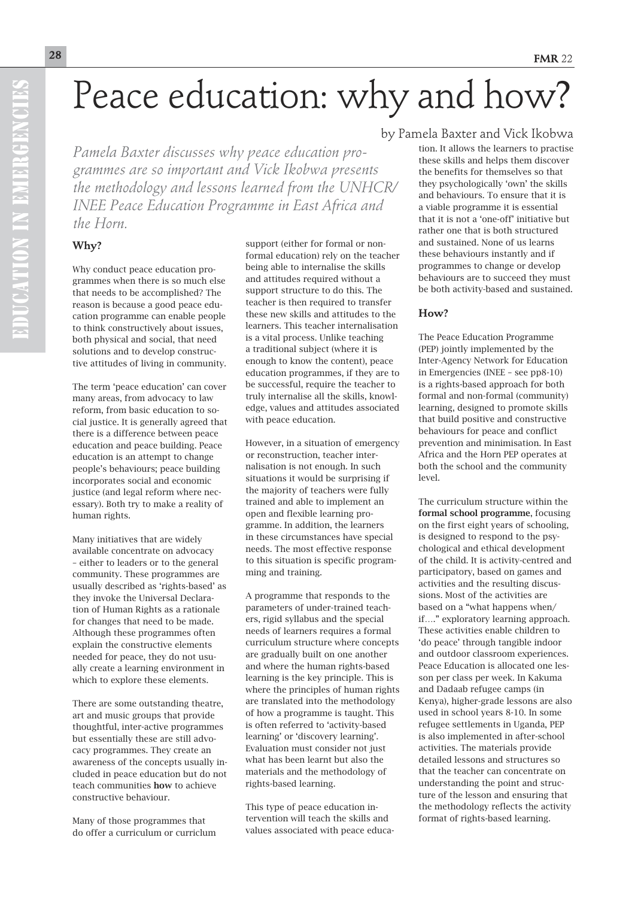# Peace education: why and how?

*Pamela Baxter discusses why peace education programmes are so important and Vick Ikobwa presents the methodology and lessons learned from the UNHCR/ INEE Peace Education Programme in East Africa and the Horn.*

#### **Why?**

Why conduct peace education programmes when there is so much else that needs to be accomplished? The reason is because a good peace education programme can enable people to think constructively about issues, both physical and social, that need solutions and to develop constructive attitudes of living in community.

The term 'peace education' can cover many areas, from advocacy to law reform, from basic education to social justice. It is generally agreed that there is a difference between peace education and peace building. Peace education is an attempt to change people's behaviours; peace building incorporates social and economic justice (and legal reform where necessary). Both try to make a reality of human rights.

Many initiatives that are widely available concentrate on advocacy – either to leaders or to the general community. These programmes are usually described as 'rights-based' as they invoke the Universal Declaration of Human Rights as a rationale for changes that need to be made. Although these programmes often explain the constructive elements needed for peace, they do not usually create a learning environment in which to explore these elements.

There are some outstanding theatre, art and music groups that provide thoughtful, inter-active programmes but essentially these are still advocacy programmes. They create an awareness of the concepts usually included in peace education but do not teach communities how to achieve constructive behaviour.

Many of those programmes that do offer a curriculum or curriclum support (either for formal or nonformal education) rely on the teacher being able to internalise the skills and attitudes required without a support structure to do this. The teacher is then required to transfer these new skills and attitudes to the learners. This teacher internalisation is a vital process. Unlike teaching a traditional subject (where it is enough to know the content), peace education programmes, if they are to be successful, require the teacher to truly internalise all the skills, knowledge, values and attitudes associated with peace education.

However, in a situation of emergency or reconstruction, teacher internalisation is not enough. In such situations it would be surprising if the majority of teachers were fully trained and able to implement an open and flexible learning programme. In addition, the learners in these circumstances have special needs. The most effective response to this situation is specific programming and training.

A programme that responds to the parameters of under-trained teachers, rigid syllabus and the special needs of learners requires a formal curriculum structure where concepts are gradually built on one another and where the human rights-based learning is the key principle. This is where the principles of human rights are translated into the methodology of how a programme is taught. This is often referred to 'activity-based learning' or 'discovery learning'. Evaluation must consider not just what has been learnt but also the materials and the methodology of rights-based learning.

This type of peace education intervention will teach the skills and values associated with peace educa-

### by Pamela Baxter and Vick Ikobwa

tion. It allows the learners to practise these skills and helps them discover the benefits for themselves so that they psychologically 'own' the skills and behaviours. To ensure that it is a viable programme it is essential that it is not a 'one-off' initiative but rather one that is both structured and sustained. None of us learns these behaviours instantly and if programmes to change or develop behaviours are to succeed they must be both activity-based and sustained.

#### **How?**

The Peace Education Programme (PEP) jointly implemented by the Inter-Agency Network for Education in Emergencies (INEE – see pp8-10) is a rights-based approach for both formal and non-formal (community) learning, designed to promote skills that build positive and constructive behaviours for peace and conflict prevention and minimisation. In East Africa and the Horn PEP operates at both the school and the community level.

The curriculum structure within the formal school programme, focusing on the first eight years of schooling, is designed to respond to the psychological and ethical development of the child. It is activity-centred and participatory, based on games and activities and the resulting discussions. Most of the activities are based on a "what happens when/ if…." exploratory learning approach. These activities enable children to 'do peace' through tangible indoor and outdoor classroom experiences. Peace Education is allocated one lesson per class per week. In Kakuma and Dadaab refugee camps (in Kenya), higher-grade lessons are also used in school years 8-10. In some refugee settlements in Uganda, PEP is also implemented in after-school activities. The materials provide detailed lessons and structures so that the teacher can concentrate on understanding the point and structure of the lesson and ensuring that the methodology reflects the activity format of rights-based learning.